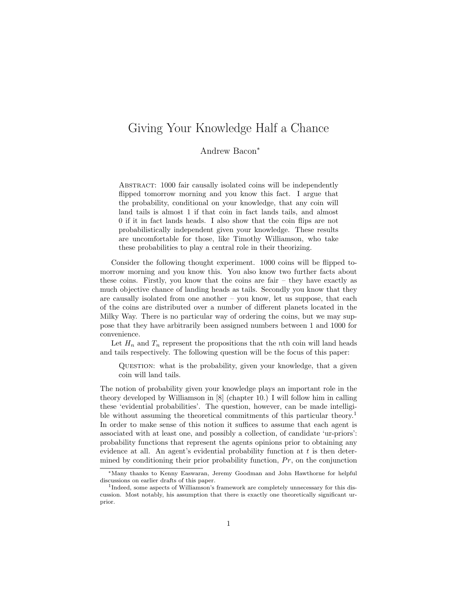# Giving Your Knowledge Half a Chance

Andrew Bacon<sup>∗</sup>

ABSTRACT: 1000 fair causally isolated coins will be independently flipped tomorrow morning and you know this fact. I argue that the probability, conditional on your knowledge, that any coin will land tails is almost 1 if that coin in fact lands tails, and almost 0 if it in fact lands heads. I also show that the coin flips are not probabilistically independent given your knowledge. These results are uncomfortable for those, like Timothy Williamson, who take these probabilities to play a central role in their theorizing.

Consider the following thought experiment. 1000 coins will be flipped tomorrow morning and you know this. You also know two further facts about these coins. Firstly, you know that the coins are fair – they have exactly as much objective chance of landing heads as tails. Secondly you know that they are causally isolated from one another – you know, let us suppose, that each of the coins are distributed over a number of different planets located in the Milky Way. There is no particular way of ordering the coins, but we may suppose that they have arbitrarily been assigned numbers between 1 and 1000 for convenience.

Let  $H_n$  and  $T_n$  represent the propositions that the nth coin will land heads and tails respectively. The following question will be the focus of this paper:

QUESTION: what is the probability, given your knowledge, that a given coin will land tails.

The notion of probability given your knowledge plays an important role in the theory developed by Williamson in [8] (chapter 10.) I will follow him in calling these 'evidential probabilities'. The question, however, can be made intelligible without assuming the theoretical commitments of this particular theory.<sup>1</sup> In order to make sense of this notion it suffices to assume that each agent is associated with at least one, and possibly a collection, of candidate 'ur-priors': probability functions that represent the agents opinions prior to obtaining any evidence at all. An agent's evidential probability function at  $t$  is then determined by conditioning their prior probability function,  $Pr$ , on the conjunction

<sup>∗</sup>Many thanks to Kenny Easwaran, Jeremy Goodman and John Hawthorne for helpful discussions on earlier drafts of this paper.

<sup>&</sup>lt;sup>1</sup>Indeed, some aspects of Williamson's framework are completely unnecessary for this discussion. Most notably, his assumption that there is exactly one theoretically significant urprior.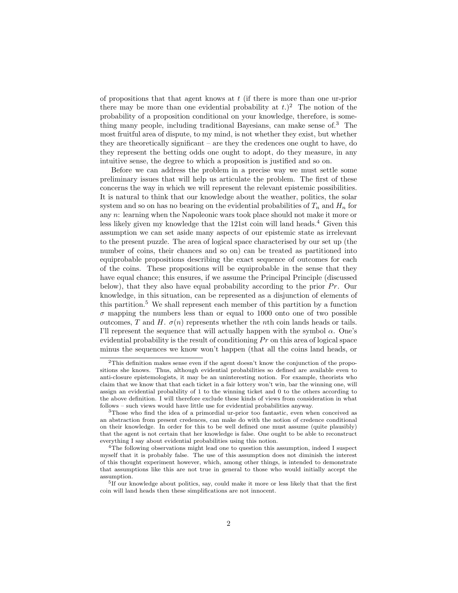of propositions that that agent knows at  $t$  (if there is more than one ur-prior there may be more than one evidential probability at  $t$ .)<sup>2</sup> The notion of the probability of a proposition conditional on your knowledge, therefore, is something many people, including traditional Bayesians, can make sense of  $3$ . The most fruitful area of dispute, to my mind, is not whether they exist, but whether they are theoretically significant – are they the credences one ought to have, do they represent the betting odds one ought to adopt, do they measure, in any intuitive sense, the degree to which a proposition is justified and so on.

Before we can address the problem in a precise way we must settle some preliminary issues that will help us articulate the problem. The first of these concerns the way in which we will represent the relevant epistemic possibilities. It is natural to think that our knowledge about the weather, politics, the solar system and so on has no bearing on the evidential probabilities of  $T_n$  and  $H_n$  for any n: learning when the Napoleonic wars took place should not make it more or less likely given my knowledge that the 121st coin will land heads.<sup>4</sup> Given this assumption we can set aside many aspects of our epistemic state as irrelevant to the present puzzle. The area of logical space characterised by our set up (the number of coins, their chances and so on) can be treated as partitioned into equiprobable propositions describing the exact sequence of outcomes for each of the coins. These propositions will be equiprobable in the sense that they have equal chance; this ensures, if we assume the Principal Principle (discussed below), that they also have equal probability according to the prior  $Pr$ . Our knowledge, in this situation, can be represented as a disjunction of elements of this partition.<sup>5</sup> We shall represent each member of this partition by a function  $\sigma$  mapping the numbers less than or equal to 1000 onto one of two possible outcomes, T and H.  $\sigma(n)$  represents whether the nth coin lands heads or tails. I'll represent the sequence that will actually happen with the symbol  $\alpha$ . One's evidential probability is the result of conditioning  $Pr$  on this area of logical space minus the sequences we know won't happen (that all the coins land heads, or

 $2$ This definition makes sense even if the agent doesn't know the conjunction of the propositions she knows. Thus, although evidential probabilities so defined are available even to anti-closure epistemologists, it may be an uninteresting notion. For example, theorists who claim that we know that that each ticket in a fair lottery won't win, bar the winning one, will assign an evidential probability of 1 to the winning ticket and 0 to the others according to the above definition. I will therefore exclude these kinds of views from consideration in what follows – such views would have little use for evidential probabilities anyway.

<sup>3</sup>Those who find the idea of a primordial ur-prior too fantastic, even when conceived as an abstraction from present credences, can make do with the notion of credence conditional on their knowledge. In order for this to be well defined one must assume (quite plausibly) that the agent is not certain that her knowledge is false. One ought to be able to reconstruct everything I say about evidential probabilities using this notion.

<sup>&</sup>lt;sup>4</sup>The following observations might lead one to question this assumption, indeed I suspect myself that it is probably false. The use of this assumption does not diminish the interest of this thought experiment however, which, among other things, is intended to demonstrate that assumptions like this are not true in general to those who would initially accept the assumption.

<sup>&</sup>lt;sup>5</sup>If our knowledge about politics, say, could make it more or less likely that that the first coin will land heads then these simplifications are not innocent.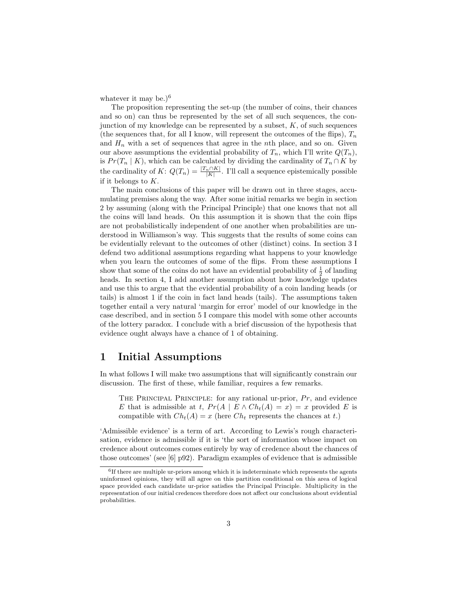whatever it may be.) $^{6}$ 

The proposition representing the set-up (the number of coins, their chances and so on) can thus be represented by the set of all such sequences, the conjunction of my knowledge can be represented by a subset,  $K$ , of such sequences (the sequences that, for all I know, will represent the outcomes of the flips),  $T_n$ and  $H_n$  with a set of sequences that agree in the nth place, and so on. Given our above assumptions the evidential probability of  $T_n$ , which I'll write  $Q(T_n)$ , is  $Pr(T_n | K)$ , which can be calculated by dividing the cardinality of  $T_n \cap K$  by the cardinality of  $K: Q(T_n) = \frac{|T_n \cap K|}{|K|}$ . I'll call a sequence epistemically possible if it belongs to K.

The main conclusions of this paper will be drawn out in three stages, accumulating premises along the way. After some initial remarks we begin in section 2 by assuming (along with the Principal Principle) that one knows that not all the coins will land heads. On this assumption it is shown that the coin flips are not probabilistically independent of one another when probabilities are understood in Williamson's way. This suggests that the results of some coins can be evidentially relevant to the outcomes of other (distinct) coins. In section 3 I defend two additional assumptions regarding what happens to your knowledge when you learn the outcomes of some of the flips. From these assumptions I show that some of the coins do not have an evidential probability of  $\frac{1}{2}$  of landing heads. In section 4, I add another assumption about how knowledge updates and use this to argue that the evidential probability of a coin landing heads (or tails) is almost 1 if the coin in fact land heads (tails). The assumptions taken together entail a very natural 'margin for error' model of our knowledge in the case described, and in section 5 I compare this model with some other accounts of the lottery paradox. I conclude with a brief discussion of the hypothesis that evidence ought always have a chance of 1 of obtaining.

#### 1 Initial Assumptions

In what follows I will make two assumptions that will significantly constrain our discussion. The first of these, while familiar, requires a few remarks.

THE PRINCIPAL PRINCIPLE: for any rational ur-prior,  $Pr$ , and evidence E that is admissible at t,  $Pr(A \mid E \wedge Ch_t(A) = x) = x$  provided E is compatible with  $Ch_t(A) = x$  (here  $Ch_t$  represents the chances at t.)

'Admissible evidence' is a term of art. According to Lewis's rough characterisation, evidence is admissible if it is 'the sort of information whose impact on credence about outcomes comes entirely by way of credence about the chances of those outcomes' (see [6] p92). Paradigm examples of evidence that is admissible

<sup>&</sup>lt;sup>6</sup>If there are multiple ur-priors among which it is indeterminate which represents the agents uninformed opinions, they will all agree on this partition conditional on this area of logical space provided each candidate ur-prior satisfies the Principal Principle. Multiplicity in the representation of our initial credences therefore does not affect our conclusions about evidential probabilities.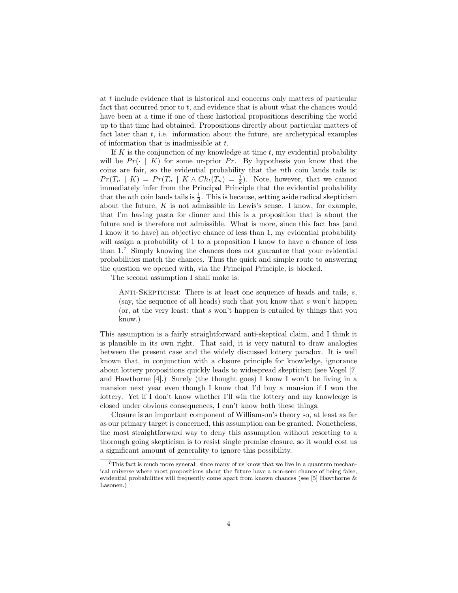at t include evidence that is historical and concerns only matters of particular fact that occurred prior to  $t$ , and evidence that is about what the chances would have been at a time if one of these historical propositions describing the world up to that time had obtained. Propositions directly about particular matters of fact later than  $t$ , i.e. information about the future, are archetypical examples of information that is inadmissible at t.

If  $K$  is the conjunction of my knowledge at time  $t$ , my evidential probability will be  $Pr(\cdot | K)$  for some ur-prior Pr. By hypothesis you know that the coins are fair, so the evidential probability that the nth coin lands tails is:  $Pr(T_n | K) = Pr(T_n | K \wedge Ch_t(T_n) = \frac{1}{2})$ . Note, however, that we cannot immediately infer from the Principal Principle that the evidential probability that the *n*th coin lands tails is  $\frac{1}{2}$ . This is because, setting aside radical skepticism about the future,  $K$  is not admissible in Lewis's sense. I know, for example, that I'm having pasta for dinner and this is a proposition that is about the future and is therefore not admissible. What is more, since this fact has (and I know it to have) an objective chance of less than 1, my evidential probability will assign a probability of 1 to a proposition I know to have a chance of less than 1.<sup>7</sup> Simply knowing the chances does not guarantee that your evidential probabilities match the chances. Thus the quick and simple route to answering the question we opened with, via the Principal Principle, is blocked.

The second assumption I shall make is:

ANTI-SKEPTICISM: There is at least one sequence of heads and tails,  $s$ , (say, the sequence of all heads) such that you know that s won't happen (or, at the very least: that s won't happen is entailed by things that you know.)

This assumption is a fairly straightforward anti-skeptical claim, and I think it is plausible in its own right. That said, it is very natural to draw analogies between the present case and the widely discussed lottery paradox. It is well known that, in conjunction with a closure principle for knowledge, ignorance about lottery propositions quickly leads to widespread skepticism (see Vogel [7] and Hawthorne [4].) Surely (the thought goes) I know I won't be living in a mansion next year even though I know that I'd buy a mansion if I won the lottery. Yet if I don't know whether I'll win the lottery and my knowledge is closed under obvious consequences, I can't know both these things.

Closure is an important component of Williamson's theory so, at least as far as our primary target is concerned, this assumption can be granted. Nonetheless, the most straightforward way to deny this assumption without resorting to a thorough going skepticism is to resist single premise closure, so it would cost us a significant amount of generality to ignore this possibility.

<sup>&</sup>lt;sup>7</sup>This fact is much more general: since many of us know that we live in a quantum mechanical universe where most propositions about the future have a non-zero chance of being false, evidential probabilities will frequently come apart from known chances (see [5] Hawthorne & Lasonen.)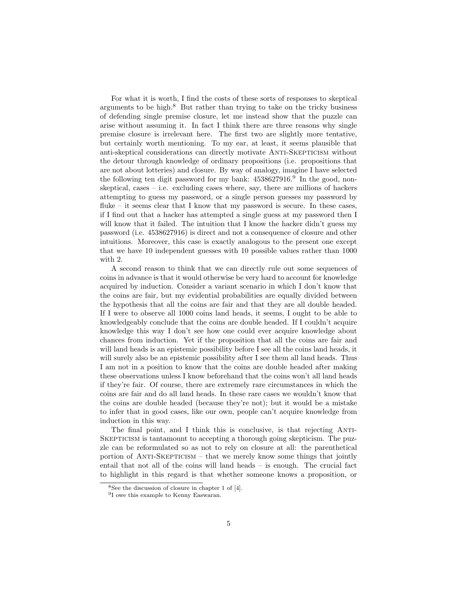For what it is worth, I find the costs of these sorts of responses to skeptical arguments to be high. $8$  But rather than trying to take on the tricky business of defending single premise closure, let me instead show that the puzzle can arise without assuming it. In fact I think there are three reasons why single premise closure is irrelevant here. The first two are slightly more tentative, but certainly worth mentioning. To my ear, at least, it seems plausible that anti-skeptical considerations can directly motivate Anti-Skepticism without the detour through knowledge of ordinary propositions (i.e. propositions that are not about lotteries) and closure. By way of analogy, imagine I have selected the following ten digit password for my bank:  $4538627916$ .<sup>9</sup> In the good, nonskeptical, cases – i.e. excluding cases where, say, there are millions of hackers attempting to guess my password, or a single person guesses my password by fluke – it seems clear that I know that my password is secure. In these cases, if I find out that a hacker has attempted a single guess at my password then I will know that it failed. The intuition that I know the hacker didn't guess my password (i.e. 4538627916) is direct and not a consequence of closure and other intuitions. Moreover, this case is exactly analogous to the present one except that we have 10 independent guesses with 10 possible values rather than 1000 with 2.

A second reason to think that we can directly rule out some sequences of coins in advance is that it would otherwise be very hard to account for knowledge acquired by induction. Consider a variant scenario in which I don't know that the coins are fair, but my evidential probabilities are equally divided between the hypothesis that all the coins are fair and that they are all double headed. If I were to observe all 1000 coins land heads, it seems, I ought to be able to knowledgeably conclude that the coins are double headed. If I couldn't acquire knowledge this way I don't see how one could ever acquire knowledge about chances from induction. Yet if the proposition that all the coins are fair and will land heads is an epistemic possibility before I see all the coins land heads, it will surely also be an epistemic possibility after I see them all land heads. Thus I am not in a position to know that the coins are double headed after making these observations unless I know beforehand that the coins won't all land heads if they're fair. Of course, there are extremely rare circumstances in which the coins are fair and do all land heads. In these rare cases we wouldn't know that the coins are double headed (because they're not); but it would be a mistake to infer that in good cases, like our own, people can't acquire knowledge from induction in this way.

The final point, and I think this is conclusive, is that rejecting ANTI-Skepticism is tantamount to accepting a thorough going skepticism. The puzzle can be reformulated so as not to rely on closure at all: the parenthetical portion of  $ANTI-SKEPTICISM - that we merely know some things that jointly$ entail that not all of the coins will land heads – is enough. The crucial fact to highlight in this regard is that whether someone knows a proposition, or

<sup>8</sup>See the discussion of closure in chapter 1 of [4].

<sup>&</sup>lt;sup>9</sup>I owe this example to Kenny Easwaran.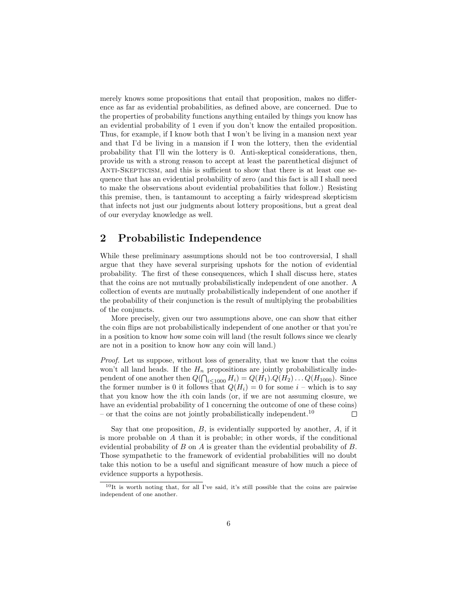merely knows some propositions that entail that proposition, makes no difference as far as evidential probabilities, as defined above, are concerned. Due to the properties of probability functions anything entailed by things you know has an evidential probability of 1 even if you don't know the entailed proposition. Thus, for example, if I know both that I won't be living in a mansion next year and that I'd be living in a mansion if I won the lottery, then the evidential probability that I'll win the lottery is 0. Anti-skeptical considerations, then, provide us with a strong reason to accept at least the parenthetical disjunct of ANTI-SKEPTICISM, and this is sufficient to show that there is at least one sequence that has an evidential probability of zero (and this fact is all I shall need to make the observations about evidential probabilities that follow.) Resisting this premise, then, is tantamount to accepting a fairly widespread skepticism that infects not just our judgments about lottery propositions, but a great deal of our everyday knowledge as well.

## 2 Probabilistic Independence

While these preliminary assumptions should not be too controversial, I shall argue that they have several surprising upshots for the notion of evidential probability. The first of these consequences, which I shall discuss here, states that the coins are not mutually probabilistically independent of one another. A collection of events are mutually probabilistically independent of one another if the probability of their conjunction is the result of multiplying the probabilities of the conjuncts.

More precisely, given our two assumptions above, one can show that either the coin flips are not probabilistically independent of one another or that you're in a position to know how some coin will land (the result follows since we clearly are not in a position to know how any coin will land.)

Proof. Let us suppose, without loss of generality, that we know that the coins won't all land heads. If the  $H_n$  propositions are jointly probabilistically independent of one another then  $Q(\bigcap_{i\leq 1000} H_i) = Q(H_1) \cdot Q(H_2) \cdot \cdot \cdot Q(H_{1000})$ . Since the former number is 0 it follows that  $Q(H_i) = 0$  for some  $i$  – which is to say that you know how the ith coin lands (or, if we are not assuming closure, we have an evidential probability of 1 concerning the outcome of one of these coins) – or that the coins are not jointly probabilistically independent.<sup>10</sup>  $\Box$ 

Say that one proposition,  $B$ , is evidentially supported by another,  $A$ , if it is more probable on A than it is probable; in other words, if the conditional evidential probability of B on A is greater than the evidential probability of B. Those sympathetic to the framework of evidential probabilities will no doubt take this notion to be a useful and significant measure of how much a piece of evidence supports a hypothesis.

<sup>10</sup>It is worth noting that, for all I've said, it's still possible that the coins are pairwise independent of one another.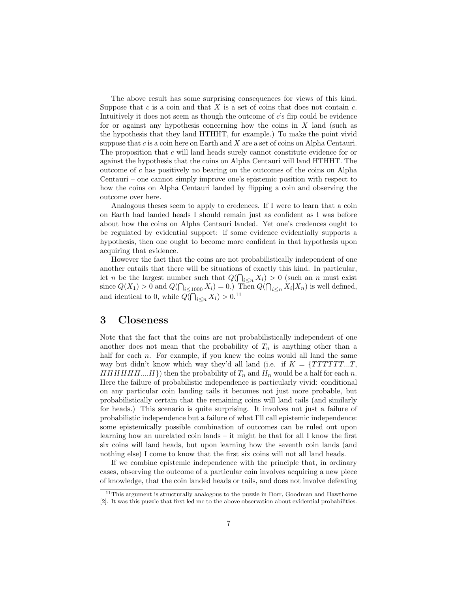The above result has some surprising consequences for views of this kind. Suppose that  $c$  is a coin and that  $X$  is a set of coins that does not contain  $c$ . Intuitively it does not seem as though the outcome of c's flip could be evidence for or against any hypothesis concerning how the coins in  $X$  land (such as the hypothesis that they land HTHHT, for example.) To make the point vivid suppose that  $c$  is a coin here on Earth and  $X$  are a set of coins on Alpha Centauri. The proposition that c will land heads surely cannot constitute evidence for or against the hypothesis that the coins on Alpha Centauri will land HTHHT. The outcome of  $c$  has positively no bearing on the outcomes of the coins on Alpha Centauri – one cannot simply improve one's epistemic position with respect to how the coins on Alpha Centauri landed by flipping a coin and observing the outcome over here.

Analogous theses seem to apply to credences. If I were to learn that a coin on Earth had landed heads I should remain just as confident as I was before about how the coins on Alpha Centauri landed. Yet one's credences ought to be regulated by evidential support: if some evidence evidentially supports a hypothesis, then one ought to become more confident in that hypothesis upon acquiring that evidence.

However the fact that the coins are not probabilistically independent of one another entails that there will be situations of exactly this kind. In particular, let *n* be the largest number such that  $Q(\bigcap_{i \leq n} X_i) > 0$  (such an *n* must exist since  $Q(X_1) > 0$  and  $Q(\bigcap_{i \leq 1000} X_i) = 0$ .) Then  $Q(\bigcap_{i \leq n} X_i | X_n)$  is well defined, and identical to 0, while  $Q(\bigcap_{i\leq n} X_i) > 0$ .<sup>11</sup>

#### 3 Closeness

Note that the fact that the coins are not probabilistically independent of one another does not mean that the probability of  $T_n$  is anything other than a half for each *n*. For example, if you knew the coins would all land the same way but didn't know which way they'd all land (i.e. if  $K = \{TTTTTT...T,$  $HHHHH...H$  then the probability of  $T_n$  and  $H_n$  would be a half for each n. Here the failure of probabilistic independence is particularly vivid: conditional on any particular coin landing tails it becomes not just more probable, but probabilistically certain that the remaining coins will land tails (and similarly for heads.) This scenario is quite surprising. It involves not just a failure of probabilistic independence but a failure of what I'll call epistemic independence: some epistemically possible combination of outcomes can be ruled out upon learning how an unrelated coin lands – it might be that for all I know the first six coins will land heads, but upon learning how the seventh coin lands (and nothing else) I come to know that the first six coins will not all land heads.

If we combine epistemic independence with the principle that, in ordinary cases, observing the outcome of a particular coin involves acquiring a new piece of knowledge, that the coin landed heads or tails, and does not involve defeating

<sup>&</sup>lt;sup>11</sup>This argument is structurally analogous to the puzzle in Dorr, Goodman and Hawthorne [2]. It was this puzzle that first led me to the above observation about evidential probabilities.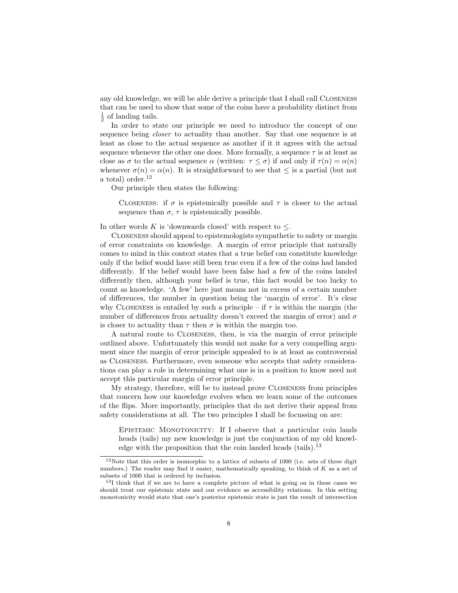any old knowledge, we will be able derive a principle that I shall call Closeness that can be used to show that some of the coins have a probability distinct from  $\frac{1}{2}$  of landing tails.

In order to state our principle we need to introduce the concept of one sequence being *closer* to actuality than another. Say that one sequence is at least as close to the actual sequence as another if it it agrees with the actual sequence whenever the other one does. More formally, a sequence  $\tau$  is at least as close as  $\sigma$  to the actual sequence  $\alpha$  (written:  $\tau \leq \sigma$ ) if and only if  $\tau(n) = \alpha(n)$ whenever  $\sigma(n) = \alpha(n)$ . It is straightforward to see that  $\leq$  is a partial (but not a total) order.<sup>12</sup>

Our principle then states the following:

CLOSENESS: if  $\sigma$  is epistemically possible and  $\tau$  is closer to the actual sequence than  $\sigma$ ,  $\tau$  is epistemically possible.

In other words K is 'downwards closed' with respect to  $\leq$ .

Closeness should appeal to epistemologists sympathetic to safety or margin of error constraints on knowledge. A margin of error principle that naturally comes to mind in this context states that a true belief can constitute knowledge only if the belief would have still been true even if a few of the coins had landed differently. If the belief would have been false had a few of the coins landed differently then, although your belief is true, this fact would be too lucky to count as knowledge. 'A few' here just means not in excess of a certain number of differences, the number in question being the 'margin of error'. It's clear why CLOSENESS is entailed by such a principle – if  $\tau$  is within the margin (the number of differences from actuality doesn't exceed the margin of error) and  $\sigma$ is closer to actuality than  $\tau$  then  $\sigma$  is within the margin too.

A natural route to Closeness, then, is via the margin of error principle outlined above. Unfortunately this would not make for a very compelling argument since the margin of error principle appealed to is at least as controversial as Closeness. Furthermore, even someone who accepts that safety considerations can play a role in determining what one is in a position to know need not accept this particular margin of error principle.

My strategy, therefore, will be to instead prove Closeness from principles that concern how our knowledge evolves when we learn some of the outcomes of the flips. More importantly, principles that do not derive their appeal from safety considerations at all. The two principles I shall be focussing on are:

EPISTEMIC MONOTONICITY: If I observe that a particular coin lands heads (tails) my new knowledge is just the conjunction of my old knowledge with the proposition that the coin landed heads (tails).<sup>13</sup>

<sup>&</sup>lt;sup>12</sup>Note that this order is isomorphic to a lattice of subsets of 1000 (i.e. sets of three digit numbers.) The reader may find it easier, mathematically speaking, to think of K as a set of subsets of 1000 that is ordered by inclusion.

<sup>&</sup>lt;sup>13</sup>I think that if we are to have a complete picture of what is going on in these cases we should treat our epistemic state and our evidence as accessibility relations. In this setting monotonicity would state that one's posterior epistemic state is just the result of intersection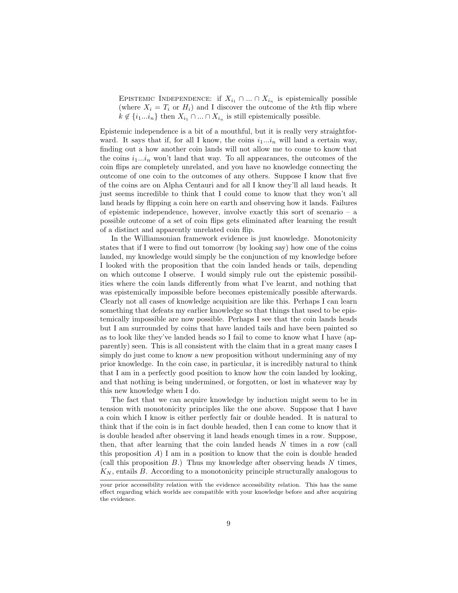EPISTEMIC INDEPENDENCE: if  $X_{i_1} \cap ... \cap X_{i_n}$  is epistemically possible (where  $X_i = T_i$  or  $H_i$ ) and I discover the outcome of the kth flip where  $k \notin \{i_1...i_n\}$  then  $X_{i_1} \cap ... \cap X_{i_n}$  is still epistemically possible.

Epistemic independence is a bit of a mouthful, but it is really very straightforward. It says that if, for all I know, the coins  $i_1...i_n$  will land a certain way, finding out a how another coin lands will not allow me to come to know that the coins  $i_1...i_n$  won't land that way. To all appearances, the outcomes of the coin flips are completely unrelated, and you have no knowledge connecting the outcome of one coin to the outcomes of any others. Suppose I know that five of the coins are on Alpha Centauri and for all I know they'll all land heads. It just seems incredible to think that I could come to know that they won't all land heads by flipping a coin here on earth and observing how it lands. Failures of epistemic independence, however, involve exactly this sort of scenario – a possible outcome of a set of coin flips gets eliminated after learning the result of a distinct and apparently unrelated coin flip.

In the Williamsonian framework evidence is just knowledge. Monotonicity states that if I were to find out tomorrow (by looking say) how one of the coins landed, my knowledge would simply be the conjunction of my knowledge before I looked with the proposition that the coin landed heads or tails, depending on which outcome I observe. I would simply rule out the epistemic possibilities where the coin lands differently from what I've learnt, and nothing that was epistemically impossible before becomes epistemically possible afterwards. Clearly not all cases of knowledge acquisition are like this. Perhaps I can learn something that defeats my earlier knowledge so that things that used to be epistemically impossible are now possible. Perhaps I see that the coin lands heads but I am surrounded by coins that have landed tails and have been painted so as to look like they've landed heads so I fail to come to know what I have (apparently) seen. This is all consistent with the claim that in a great many cases I simply do just come to know a new proposition without undermining any of my prior knowledge. In the coin case, in particular, it is incredibly natural to think that I am in a perfectly good position to know how the coin landed by looking, and that nothing is being undermined, or forgotten, or lost in whatever way by this new knowledge when I do.

The fact that we can acquire knowledge by induction might seem to be in tension with monotonicity principles like the one above. Suppose that I have a coin which I know is either perfectly fair or double headed. It is natural to think that if the coin is in fact double headed, then I can come to know that it is double headed after observing it land heads enough times in a row. Suppose, then, that after learning that the coin landed heads N times in a row (call this proposition  $A$ ) I am in a position to know that the coin is double headed (call this proposition  $B$ .) Thus my knowledge after observing heads  $N$  times,  $K_N$ , entails B. According to a monotonicity principle structurally analogous to

your prior accessibility relation with the evidence accessibility relation. This has the same effect regarding which worlds are compatible with your knowledge before and after acquiring the evidence.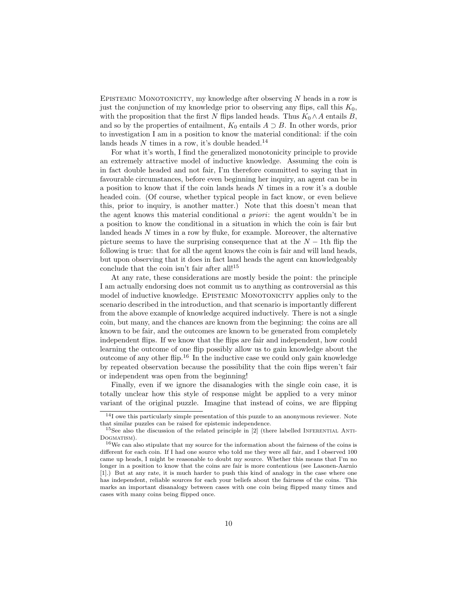EPISTEMIC MONOTONICITY, my knowledge after observing  $N$  heads in a row is just the conjunction of my knowledge prior to observing any flips, call this  $K_0$ , with the proposition that the first N flips landed heads. Thus  $K_0 \wedge A$  entails B, and so by the properties of entailment,  $K_0$  entails  $A \supset B$ . In other words, prior to investigation I am in a position to know the material conditional: if the coin lands heads  $N$  times in a row, it's double headed.<sup>14</sup>

For what it's worth, I find the generalized monotonicity principle to provide an extremely attractive model of inductive knowledge. Assuming the coin is in fact double headed and not fair, I'm therefore committed to saying that in favourable circumstances, before even beginning her inquiry, an agent can be in a position to know that if the coin lands heads  $N$  times in a row it's a double headed coin. (Of course, whether typical people in fact know, or even believe this, prior to inquiry, is another matter.) Note that this doesn't mean that the agent knows this material conditional a priori: the agent wouldn't be in a position to know the conditional in a situation in which the coin is fair but landed heads N times in a row by fluke, for example. Moreover, the alternative picture seems to have the surprising consequence that at the  $N - 1$ th flip the following is true: that for all the agent knows the coin is fair and will land heads, but upon observing that it does in fact land heads the agent can knowledgeably conclude that the coin isn't fair after all!<sup>15</sup>

At any rate, these considerations are mostly beside the point: the principle I am actually endorsing does not commit us to anything as controversial as this model of inductive knowledge. EPISTEMIC MONOTONICITY applies only to the scenario described in the introduction, and that scenario is importantly different from the above example of knowledge acquired inductively. There is not a single coin, but many, and the chances are known from the beginning: the coins are all known to be fair, and the outcomes are known to be generated from completely independent flips. If we know that the flips are fair and independent, how could learning the outcome of one flip possibly allow us to gain knowledge about the outcome of any other flip.<sup>16</sup> In the inductive case we could only gain knowledge by repeated observation because the possibility that the coin flips weren't fair or independent was open from the beginning!

Finally, even if we ignore the disanalogies with the single coin case, it is totally unclear how this style of response might be applied to a very minor variant of the original puzzle. Imagine that instead of coins, we are flipping

 $^{14}\mathrm{I}$  owe this particularly simple presentation of this puzzle to an anonymous reviewer. Note that similar puzzles can be raised for epistemic independence.

<sup>&</sup>lt;sup>15</sup>See also the discussion of the related principle in  $[2]$  (there labelled INFERENTIAL ANTI-DOGMATISM).

<sup>16</sup>We can also stipulate that my source for the information about the fairness of the coins is different for each coin. If I had one source who told me they were all fair, and I observed 100 came up heads, I might be reasonable to doubt my source. Whether this means that I'm no longer in a position to know that the coins are fair is more contentious (see Lasonen-Aarnio [1].) But at any rate, it is much harder to push this kind of analogy in the case where one has independent, reliable sources for each your beliefs about the fairness of the coins. This marks an important disanalogy between cases with one coin being flipped many times and cases with many coins being flipped once.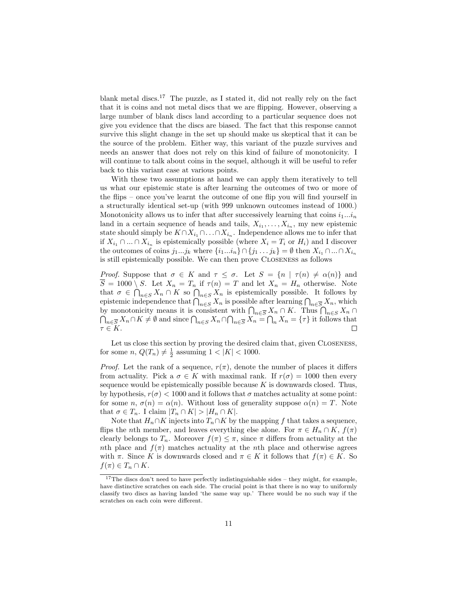blank metal discs.<sup>17</sup> The puzzle, as I stated it, did not really rely on the fact that it is coins and not metal discs that we are flipping. However, observing a large number of blank discs land according to a particular sequence does not give you evidence that the discs are biased. The fact that this response cannot survive this slight change in the set up should make us skeptical that it can be the source of the problem. Either way, this variant of the puzzle survives and needs an answer that does not rely on this kind of failure of monotonicity. I will continue to talk about coins in the sequel, although it will be useful to refer back to this variant case at various points.

With these two assumptions at hand we can apply them iteratively to tell us what our epistemic state is after learning the outcomes of two or more of the flips – once you've learnt the outcome of one flip you will find yourself in a structurally identical set-up (with 999 unknown outcomes instead of 1000.) Monotonicity allows us to infer that after successively learning that coins  $i_1...i_n$ land in a certain sequence of heads and tails,  $X_{i_1}, \ldots, X_{i_n}$ , my new epistemic state should simply be  $K \cap X_{i_1} \cap \ldots \cap X_{i_n}$ . Independence allows me to infer that if  $X_{i_1} \cap ... \cap X_{i_n}$  is epistemically possible (where  $X_i = T_i$  or  $H_i$ ) and I discover the outcomes of coins  $j_1...j_k$  where  $\{i_1...i_n\} \cap \{j_1...j_k\} = \emptyset$  then  $X_{i_1} \cap ... \cap X_{i_n}$ is still epistemically possible. We can then prove Closeness as follows

*Proof.* Suppose that  $\sigma \in K$  and  $\tau \leq \sigma$ . Let  $S = \{n \mid \tau(n) \neq \alpha(n)\}\$  and  $\overline{S} = 1000 \setminus S$ . Let  $X_n = T_n$  if  $\tau(n) = T$  and let  $X_n = H_n$  otherwise. Note that  $\sigma \in \bigcap_{n\in S} X_n \cap K$  so  $\bigcap_{n\in S} X_n$  is epistemically possible. It follows by epistemic independence that  $\bigcap_{n\in S} X_n$  is possible after learning  $\bigcap_{n\in \overline{S}} X_n$ , which by monotonicity means it is consistent with  $\bigcap_{n\in\overline{S}} X_n \cap K$ . Thus  $\bigcap_{n\in S} X_n \cap K$  $\bigcap_{n\in\overline{S}} X_n \cap K \neq \emptyset$  and since  $\bigcap_{n\in\overline{S}} X_n \cap \bigcap_{n\in\overline{S}} X_n = \bigcap_n X_n = \{\tau\}$  it follows that  $\tau \in K.$ 

Let us close this section by proving the desired claim that, given CLOSENESS, for some  $n, Q(T_n) \neq \frac{1}{2}$  assuming  $1 < |K| < 1000$ .

*Proof.* Let the rank of a sequence,  $r(\pi)$ , denote the number of places it differs from actuality. Pick a  $\sigma \in K$  with maximal rank. If  $r(\sigma) = 1000$  then every sequence would be epistemically possible because  $K$  is downwards closed. Thus, by hypothesis,  $r(\sigma) < 1000$  and it follows that  $\sigma$  matches actuality at some point: for some  $n, \sigma(n) = \alpha(n)$ . Without loss of generality suppose  $\alpha(n) = T$ . Note that  $\sigma \in T_n$ . I claim  $|T_n \cap K| > |H_n \cap K|$ .

Note that  $H_n \cap K$  injects into  $T_n \cap K$  by the mapping f that takes a sequence, flips the *n*th member, and leaves everything else alone. For  $\pi \in H_n \cap K$ ,  $f(\pi)$ clearly belongs to  $T_n$ . Moreover  $f(\pi) \leq \pi$ , since  $\pi$  differs from actuality at the nth place and  $f(\pi)$  matches actuality at the nth place and otherwise agrees with  $\pi$ . Since K is downwards closed and  $\pi \in K$  it follows that  $f(\pi) \in K$ . So  $f(\pi) \in T_n \cap K$ .

<sup>&</sup>lt;sup>17</sup>The discs don't need to have perfectly indistinguishable sides – they might, for example, have distinctive scratches on each side. The crucial point is that there is no way to uniformly classify two discs as having landed 'the same way up.' There would be no such way if the scratches on each coin were different.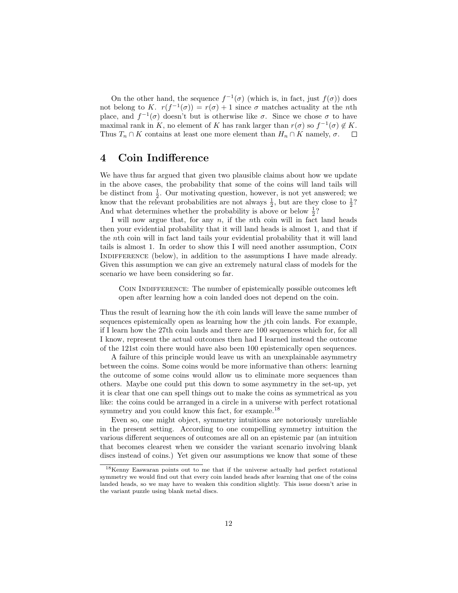On the other hand, the sequence  $f^{-1}(\sigma)$  (which is, in fact, just  $f(\sigma)$ ) does not belong to K.  $r(f^{-1}(\sigma)) = r(\sigma) + 1$  since  $\sigma$  matches actuality at the *n*th place, and  $f^{-1}(\sigma)$  doesn't but is otherwise like  $\sigma$ . Since we chose  $\sigma$  to have maximal rank in K, no element of K has rank larger than  $r(\sigma)$  so  $f^{-1}(\sigma) \notin K$ . Thus  $T_n \cap K$  contains at least one more element than  $H_n \cap K$  namely,  $\sigma$ .  $\Box$ 

### 4 Coin Indifference

We have thus far argued that given two plausible claims about how we update in the above cases, the probability that some of the coins will land tails will be distinct from  $\frac{1}{2}$ . Our motivating question, however, is not yet answered; we know that the relevant probabilities are not always  $\frac{1}{2}$ , but are they close to  $\frac{1}{2}$ ? And what determines whether the probability is above or below  $\frac{1}{2}$ ?

I will now argue that, for any  $n$ , if the nth coin will in fact land heads then your evidential probability that it will land heads is almost 1, and that if the nth coin will in fact land tails your evidential probability that it will land tails is almost 1. In order to show this I will need another assumption, Coin INDIFFERENCE (below), in addition to the assumptions I have made already. Given this assumption we can give an extremely natural class of models for the scenario we have been considering so far.

COIN INDIFFERENCE: The number of epistemically possible outcomes left open after learning how a coin landed does not depend on the coin.

Thus the result of learning how the ith coin lands will leave the same number of sequences epistemically open as learning how the jth coin lands. For example, if I learn how the 27th coin lands and there are 100 sequences which for, for all I know, represent the actual outcomes then had I learned instead the outcome of the 121st coin there would have also been 100 epistemically open sequences.

A failure of this principle would leave us with an unexplainable asymmetry between the coins. Some coins would be more informative than others: learning the outcome of some coins would allow us to eliminate more sequences than others. Maybe one could put this down to some asymmetry in the set-up, yet it is clear that one can spell things out to make the coins as symmetrical as you like: the coins could be arranged in a circle in a universe with perfect rotational symmetry and you could know this fact, for example.<sup>18</sup>

Even so, one might object, symmetry intuitions are notoriously unreliable in the present setting. According to one compelling symmetry intuition the various different sequences of outcomes are all on an epistemic par (an intuition that becomes clearest when we consider the variant scenario involving blank discs instead of coins.) Yet given our assumptions we know that some of these

<sup>18</sup>Kenny Easwaran points out to me that if the universe actually had perfect rotational symmetry we would find out that every coin landed heads after learning that one of the coins landed heads, so we may have to weaken this condition slightly. This issue doesn't arise in the variant puzzle using blank metal discs.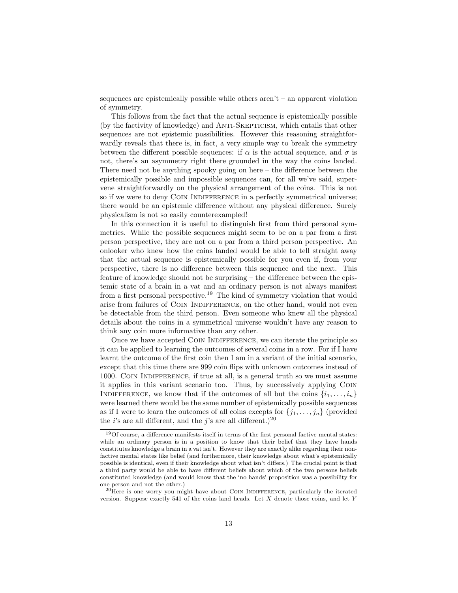sequences are epistemically possible while others aren't – an apparent violation of symmetry.

This follows from the fact that the actual sequence is epistemically possible (by the factivity of knowledge) and ANTI-SKEPTICISM, which entails that other sequences are not epistemic possibilities. However this reasoning straightforwardly reveals that there is, in fact, a very simple way to break the symmetry between the different possible sequences: if  $\alpha$  is the actual sequence, and  $\sigma$  is not, there's an asymmetry right there grounded in the way the coins landed. There need not be anything spooky going on here  $-$  the difference between the epistemically possible and impossible sequences can, for all we've said, supervene straightforwardly on the physical arrangement of the coins. This is not so if we were to deny COIN INDIFFERENCE in a perfectly symmetrical universe; there would be an epistemic difference without any physical difference. Surely physicalism is not so easily counterexampled!

In this connection it is useful to distinguish first from third personal symmetries. While the possible sequences might seem to be on a par from a first person perspective, they are not on a par from a third person perspective. An onlooker who knew how the coins landed would be able to tell straight away that the actual sequence is epistemically possible for you even if, from your perspective, there is no difference between this sequence and the next. This feature of knowledge should not be surprising – the difference between the epistemic state of a brain in a vat and an ordinary person is not always manifest from a first personal perspective.<sup>19</sup> The kind of symmetry violation that would arise from failures of COIN INDIFFERENCE, on the other hand, would not even be detectable from the third person. Even someone who knew all the physical details about the coins in a symmetrical universe wouldn't have any reason to think any coin more informative than any other.

Once we have accepted Coin Indifference, we can iterate the principle so it can be applied to learning the outcomes of several coins in a row. For if I have learnt the outcome of the first coin then I am in a variant of the initial scenario, except that this time there are 999 coin flips with unknown outcomes instead of 1000. Coin Indifference, if true at all, is a general truth so we must assume it applies in this variant scenario too. Thus, by successively applying Coin INDIFFERENCE, we know that if the outcomes of all but the coins  $\{i_1, \ldots, i_n\}$ were learned there would be the same number of epistemically possible sequences as if I were to learn the outcomes of all coins excepts for  $\{j_1, \ldots, j_n\}$  (provided the *i*'s are all different, and the *j*'s are all different.)<sup>20</sup>

 $19$ Of course, a difference manifests itself in terms of the first personal factive mental states: while an ordinary person is in a position to know that their belief that they have hands constitutes knowledge a brain in a vat isn't. However they are exactly alike regarding their nonfactive mental states like belief (and furthermore, their knowledge about what's epistemically possible is identical, even if their knowledge about what isn't differs.) The crucial point is that a third party would be able to have different beliefs about which of the two persons beliefs constituted knowledge (and would know that the 'no hands' proposition was a possibility for one person and not the other.)

 $20$ Here is one worry you might have about COIN INDIFFERENCE, particularly the iterated version. Suppose exactly 541 of the coins land heads. Let  $X$  denote those coins, and let  $Y$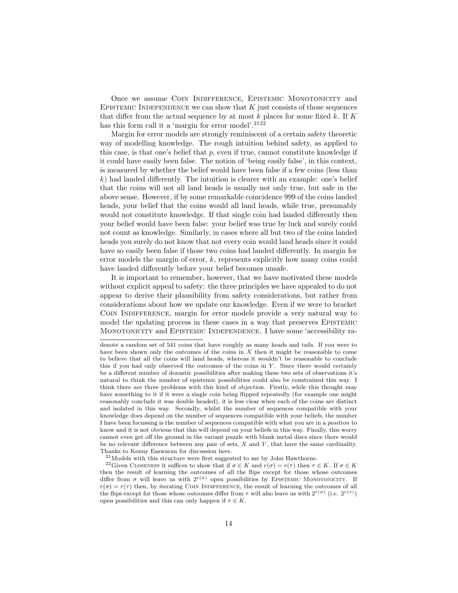Once we assume COIN INDIFFERENCE, EPISTEMIC MONOTONICITY and EPISTEMIC INDEPENDENCE we can show that  $K$  just consists of those sequences that differ from the actual sequence by at most k places for some fixed k. If K has this form call it a 'margin for error model'.<sup>2122</sup>

Margin for error models are strongly reminiscent of a certain safety theoretic way of modelling knowledge. The rough intuition behind safety, as applied to this case, is that one's belief that  $p$ , even if true, cannot constitute knowledge if it could have easily been false. The notion of 'being easily false', in this context, is measured by whether the belief would have been false if a few coins (less than  $k$ ) had landed differently. The intuition is clearer with an example: one's belief that the coins will not all land heads is usually not only true, but safe in the above sense. However, if by some remarkable coincidence 999 of the coins landed heads, your belief that the coins would all land heads, while true, presumably would not constitute knowledge. If that single coin had landed differently then your belief would have been false: your belief was true by luck and surely could not count as knowledge. Similarly, in cases where all but two of the coins landed heads you surely do not know that not every coin would land heads since it could have so easily been false if those two coins had landed differently. In margin for error models the margin of error, k, represents explicitly how many coins could have landed differently before your belief becomes unsafe.

It is important to remember, however, that we have motivated these models without explicit appeal to safety: the three principles we have appealed to do not appear to derive their plausibility from safety considerations, but rather from considerations about how we update our knowledge. Even if we were to bracket COIN INDIFFERENCE, margin for error models provide a very natural way to model the updating process in these cases in a way that preserves Epistemic Monotonicity and Epistemic Independence. I have some 'accessibility ra-

denote a random set of 541 coins that have roughly as many heads and tails. If you were to have been shown only the outcomes of the coins in  $X$  then it might be reasonable to come to believe that all the coins will land heads, whereas it wouldn't be reasonable to conclude this if you had only observed the outcomes of the coins in Y . Since there would certainly be a different number of doxastic possibilities after making these two sets of observations it's natural to think the number of epistemic possibilities could also be constrained this way. I think there are three problems with this kind of objection. Firstly, while this thought may have something to it if it were a single coin being flipped repeatedly (for example one might reasonably conclude it was double headed), it is less clear when each of the coins are distinct and isolated in this way. Secondly, whilst the number of sequences compatible with your knowledge does depend on the number of sequences compatible with your beliefs, the number I have been focussing is the number of sequences compatible with what you are in a position to know and it is not obvious that this will depend on your beliefs in this way. Finally, this worry cannot even get off the ground in the variant puzzle with blank metal discs since there would be no relevant difference between any pair of sets,  $X$  and  $Y$ , that have the same cardinality. Thanks to Kenny Easwaran for discussion here.

 $^{21}$ Models with this structure were first suggested to me by John Hawthorne.

<sup>&</sup>lt;sup>22</sup>Given CLOSENESS it suffices to show that if  $\sigma \in K$  and  $r(\sigma) = r(\tau)$  then  $\tau \in K$ . If  $\sigma \in K$ then the result of learning the outcomes of all the flips except for those whose outcomes differ from  $\sigma$  will leave us with  $2^{r(\sigma)}$  open possibilities by EPISTEMIC MONOTONICITY. If  $r(\sigma) = r(\tau)$  then, by iterating COIN INDIFFERENCE, the result of learning the outcomes of all the flips except for those whose outcomes differ from  $\tau$  will also leave us with  $2^{r(\sigma)}$  (i.e.  $2^{r(\tau)}$ ) open possibilities and this can only happen if  $\tau \in K$ .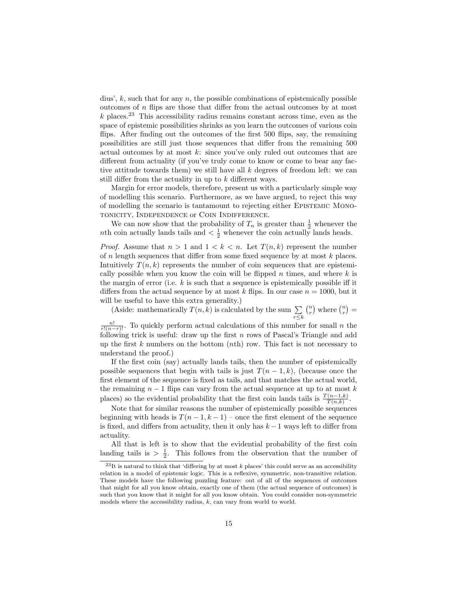dius',  $k$ , such that for any  $n$ , the possible combinations of epistemically possible outcomes of  $n$  flips are those that differ from the actual outcomes by at most  $k$  places.<sup>23</sup> This accessibility radius remains constant across time, even as the space of epistemic possibilities shrinks as you learn the outcomes of various coin flips. After finding out the outcomes of the first 500 flips, say, the remaining possibilities are still just those sequences that differ from the remaining 500 actual outcomes by at most  $k$ : since you've only ruled out outcomes that are different from actuality (if you've truly come to know or come to bear any factive attitude towards them) we still have all  $k$  degrees of freedom left: we can still differ from the actuality in up to k different ways.

Margin for error models, therefore, present us with a particularly simple way of modelling this scenario. Furthermore, as we have argued, to reject this way of modelling the scenario is tantamount to rejecting either Epistemic Monotonicity, Independence or Coin Indifference.

We can now show that the probability of  $T_n$  is greater than  $\frac{1}{2}$  whenever the *nth* coin actually lands tails and  $\langle \frac{1}{2} \rangle$  whenever the coin actually lands heads.

*Proof.* Assume that  $n > 1$  and  $1 < k < n$ . Let  $T(n, k)$  represent the number of  $n$  length sequences that differ from some fixed sequence by at most  $k$  places. Intuitively  $T(n, k)$  represents the number of coin sequences that are epistemically possible when you know the coin will be flipped n times, and where  $k$  is the margin of error (i.e.  $k$  is such that a sequence is epistemically possible iff it differs from the actual sequence by at most k flips. In our case  $n = 1000$ , but it will be useful to have this extra generality.)

(Aside: mathematically  $T(n, k)$  is calculated by the sum  $\sum$  $r \leq k$  $\binom{n}{r}$  where  $\binom{n}{r}$  =

 $\frac{n!}{r!(n-r)!}$ . To quickly perform actual calculations of this number for small n the following trick is useful: draw up the first  $n$  rows of Pascal's Triangle and add up the first  $k$  numbers on the bottom  $(nth)$  row. This fact is not necessary to understand the proof.)

If the first coin (say) actually lands tails, then the number of epistemically possible sequences that begin with tails is just  $T(n-1,k)$ , (because once the first element of the sequence is fixed as tails, and that matches the actual world, the remaining  $n-1$  flips can vary from the actual sequence at up to at most k places) so the evidential probability that the first coin lands tails is  $\frac{T(n-1,k)}{T(n,k)}$ .

Note that for similar reasons the number of epistemically possible sequences beginning with heads is  $T(n-1, k-1)$  – once the first element of the sequence is fixed, and differs from actuality, then it only has  $k-1$  ways left to differ from actuality.

All that is left is to show that the evidential probability of the first coin landing tails is  $> \frac{1}{2}$ . This follows from the observation that the number of

 $^{23}$ It is natural to think that 'differing by at most k places' this could serve as an accessibility relation in a model of epistemic logic. This is a reflexive, symmetric, non-transitive relation. These models have the following puzzling feature: out of all of the sequences of outcomes that might for all you know obtain, exactly one of them (the actual sequence of outcomes) is such that you know that it might for all you know obtain. You could consider non-symmetric models where the accessibility radius,  $k$ , can vary from world to world.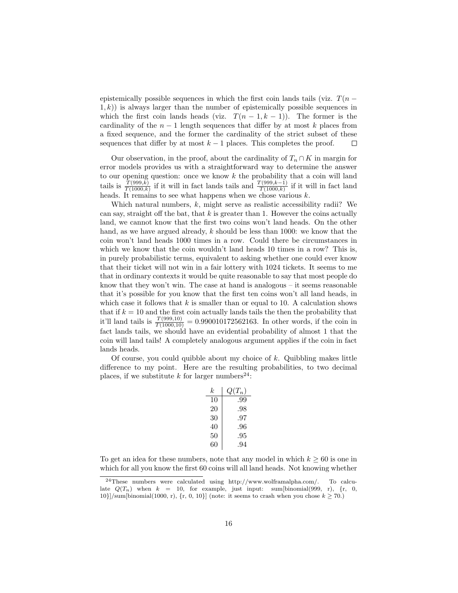epistemically possible sequences in which the first coin lands tails (viz.  $T(n (1, k)$ ) is always larger than the number of epistemically possible sequences in which the first coin lands heads (viz.  $T(n-1, k-1)$ ). The former is the cardinality of the  $n-1$  length sequences that differ by at most k places from a fixed sequence, and the former the cardinality of the strict subset of these sequences that differ by at most  $k - 1$  places. This completes the proof.  $\Box$ 

Our observation, in the proof, about the cardinality of  $T_n \cap K$  in margin for error models provides us with a straightforward way to determine the answer to our opening question: once we know  $k$  the probability that a coin will land tails is  $\frac{T(999,k)}{T(1000,k)}$  if it will in fact lands tails and  $\frac{T(999,k-1)}{T(1000,k)}$  if it will in fact land heads. It remains to see what happens when we chose various  $k$ .

Which natural numbers, k, might serve as realistic accessibility radii? We can say, straight off the bat, that  $k$  is greater than 1. However the coins actually land, we cannot know that the first two coins won't land heads. On the other hand, as we have argued already, k should be less than 1000: we know that the coin won't land heads 1000 times in a row. Could there be circumstances in which we know that the coin wouldn't land heads 10 times in a row? This is, in purely probabilistic terms, equivalent to asking whether one could ever know that their ticket will not win in a fair lottery with 1024 tickets. It seems to me that in ordinary contexts it would be quite reasonable to say that most people do know that they won't win. The case at hand is analogous  $-$  it seems reasonable that it's possible for you know that the first ten coins won't all land heads, in which case it follows that  $k$  is smaller than or equal to 10. A calculation shows that if  $k = 10$  and the first coin actually lands tails the then the probability that it'll land tails is  $\frac{T(999,10)}{T(1000,10)} = 0.990010172562163$ . In other words, if the coin in fact lands tails, we should have an evidential probability of almost 1 that the coin will land tails! A completely analogous argument applies if the coin in fact lands heads.

Of course, you could quibble about my choice of  $k$ . Quibbling makes little difference to my point. Here are the resulting probabilities, to two decimal places, if we substitute k for larger numbers<sup>24</sup>:

| k. | $Q(T_n)$ |
|----|----------|
| 10 | .99      |
| 20 | .98      |
| 30 | .97      |
| 40 | .96      |
| 50 | .95      |
| 60 | 94       |

To get an idea for these numbers, note that any model in which  $k \geq 60$  is one in which for all you know the first 60 coins will all land heads. Not knowing whether

<sup>24</sup>These numbers were calculated using http://www.wolframalpha.com/. To calculate  $Q(T_n)$  when  $k = 10$ , for example, just input: sum[binomial(999, r), {r, 0, 10}]/sum[binomial(1000, r),  $\{r, 0, 10\}$ ] (note: it seems to crash when you chose  $k \ge 70$ .)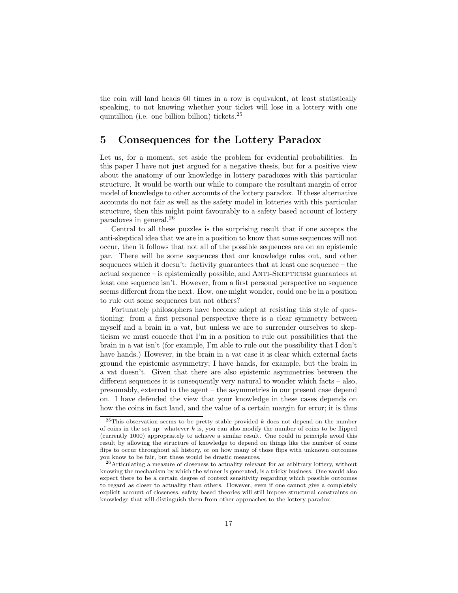the coin will land heads 60 times in a row is equivalent, at least statistically speaking, to not knowing whether your ticket will lose in a lottery with one quintillion (i.e. one billion billion) tickets.<sup>25</sup>

### 5 Consequences for the Lottery Paradox

Let us, for a moment, set aside the problem for evidential probabilities. In this paper I have not just argued for a negative thesis, but for a positive view about the anatomy of our knowledge in lottery paradoxes with this particular structure. It would be worth our while to compare the resultant margin of error model of knowledge to other accounts of the lottery paradox. If these alternative accounts do not fair as well as the safety model in lotteries with this particular structure, then this might point favourably to a safety based account of lottery paradoxes in general.<sup>26</sup>

Central to all these puzzles is the surprising result that if one accepts the anti-skeptical idea that we are in a position to know that some sequences will not occur, then it follows that not all of the possible sequences are on an epistemic par. There will be some sequences that our knowledge rules out, and other sequences which it doesn't: factivity guarantees that at least one sequence – the actual sequence – is epistemically possible, and Anti-Skepticism guarantees at least one sequence isn't. However, from a first personal perspective no sequence seems different from the next. How, one might wonder, could one be in a position to rule out some sequences but not others?

Fortunately philosophers have become adept at resisting this style of questioning: from a first personal perspective there is a clear symmetry between myself and a brain in a vat, but unless we are to surrender ourselves to skepticism we must concede that I'm in a position to rule out possibilities that the brain in a vat isn't (for example, I'm able to rule out the possibility that I don't have hands.) However, in the brain in a vat case it is clear which external facts ground the epistemic asymmetry; I have hands, for example, but the brain in a vat doesn't. Given that there are also epistemic asymmetries between the different sequences it is consequently very natural to wonder which facts – also, presumably, external to the agent – the asymmetries in our present case depend on. I have defended the view that your knowledge in these cases depends on how the coins in fact land, and the value of a certain margin for error; it is thus

<sup>&</sup>lt;sup>25</sup>This observation seems to be pretty stable provided k does not depend on the number of coins in the set up: whatever  $k$  is, you can also modify the number of coins to be flipped (currently 1000) appropriately to achieve a similar result. One could in principle avoid this result by allowing the structure of knowledge to depend on things like the number of coins flips to occur throughout all history, or on how many of those flips with unknown outcomes you know to be fair, but these would be drastic measures.

<sup>26</sup>Articulating a measure of closeness to actuality relevant for an arbitrary lottery, without knowing the mechanism by which the winner is generated, is a tricky business. One would also expect there to be a certain degree of context sensitivity regarding which possible outcomes to regard as closer to actuality than others. However, even if one cannot give a completely explicit account of closeness, safety based theories will still impose structural constraints on knowledge that will distinguish them from other approaches to the lottery paradox.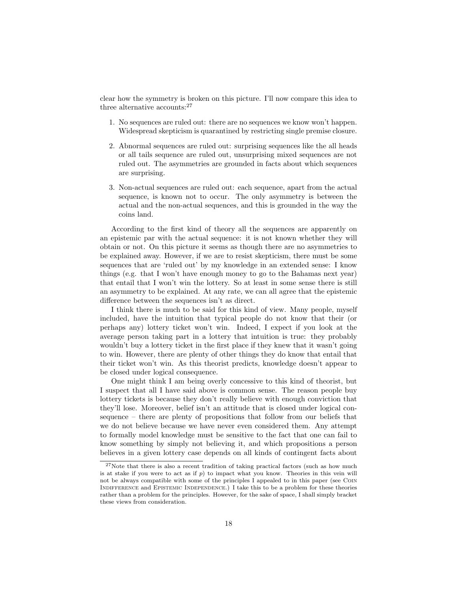clear how the symmetry is broken on this picture. I'll now compare this idea to three alternative accounts:<sup>27</sup>

- 1. No sequences are ruled out: there are no sequences we know won't happen. Widespread skepticism is quarantined by restricting single premise closure.
- 2. Abnormal sequences are ruled out: surprising sequences like the all heads or all tails sequence are ruled out, unsurprising mixed sequences are not ruled out. The asymmetries are grounded in facts about which sequences are surprising.
- 3. Non-actual sequences are ruled out: each sequence, apart from the actual sequence, is known not to occur. The only asymmetry is between the actual and the non-actual sequences, and this is grounded in the way the coins land.

According to the first kind of theory all the sequences are apparently on an epistemic par with the actual sequence: it is not known whether they will obtain or not. On this picture it seems as though there are no asymmetries to be explained away. However, if we are to resist skepticism, there must be some sequences that are 'ruled out' by my knowledge in an extended sense: I know things (e.g. that I won't have enough money to go to the Bahamas next year) that entail that I won't win the lottery. So at least in some sense there is still an asymmetry to be explained. At any rate, we can all agree that the epistemic difference between the sequences isn't as direct.

I think there is much to be said for this kind of view. Many people, myself included, have the intuition that typical people do not know that their (or perhaps any) lottery ticket won't win. Indeed, I expect if you look at the average person taking part in a lottery that intuition is true: they probably wouldn't buy a lottery ticket in the first place if they knew that it wasn't going to win. However, there are plenty of other things they do know that entail that their ticket won't win. As this theorist predicts, knowledge doesn't appear to be closed under logical consequence.

One might think I am being overly concessive to this kind of theorist, but I suspect that all I have said above is common sense. The reason people buy lottery tickets is because they don't really believe with enough conviction that they'll lose. Moreover, belief isn't an attitude that is closed under logical consequence – there are plenty of propositions that follow from our beliefs that we do not believe because we have never even considered them. Any attempt to formally model knowledge must be sensitive to the fact that one can fail to know something by simply not believing it, and which propositions a person believes in a given lottery case depends on all kinds of contingent facts about

 $27$ Note that there is also a recent tradition of taking practical factors (such as how much is at stake if you were to act as if  $p$ ) to impact what you know. Theories in this vein will not be always compatible with some of the principles I appealed to in this paper (see Coin Indifference and Epistemic Independence.) I take this to be a problem for these theories rather than a problem for the principles. However, for the sake of space, I shall simply bracket these views from consideration.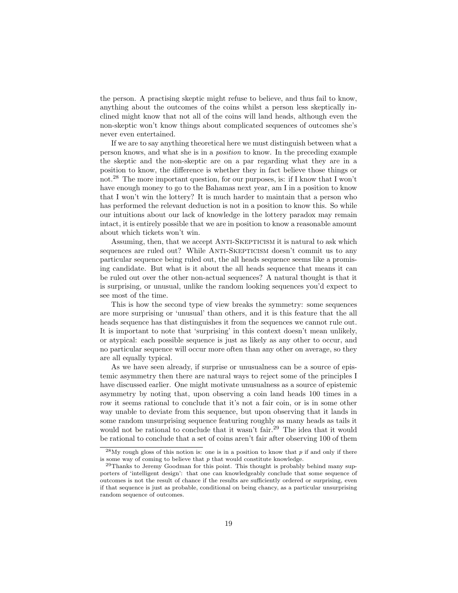the person. A practising skeptic might refuse to believe, and thus fail to know, anything about the outcomes of the coins whilst a person less skeptically inclined might know that not all of the coins will land heads, although even the non-skeptic won't know things about complicated sequences of outcomes she's never even entertained.

If we are to say anything theoretical here we must distinguish between what a person knows, and what she is in a position to know. In the preceding example the skeptic and the non-skeptic are on a par regarding what they are in a position to know, the difference is whether they in fact believe those things or not.<sup>28</sup> The more important question, for our purposes, is: if I know that I won't have enough money to go to the Bahamas next year, am I in a position to know that I won't win the lottery? It is much harder to maintain that a person who has performed the relevant deduction is not in a position to know this. So while our intuitions about our lack of knowledge in the lottery paradox may remain intact, it is entirely possible that we are in position to know a reasonable amount about which tickets won't win.

Assuming, then, that we accept ANTI-SKEPTICISM it is natural to ask which sequences are ruled out? While ANTI-SKEPTICISM doesn't commit us to any particular sequence being ruled out, the all heads sequence seems like a promising candidate. But what is it about the all heads sequence that means it can be ruled out over the other non-actual sequences? A natural thought is that it is surprising, or unusual, unlike the random looking sequences you'd expect to see most of the time.

This is how the second type of view breaks the symmetry: some sequences are more surprising or 'unusual' than others, and it is this feature that the all heads sequence has that distinguishes it from the sequences we cannot rule out. It is important to note that 'surprising' in this context doesn't mean unlikely, or atypical: each possible sequence is just as likely as any other to occur, and no particular sequence will occur more often than any other on average, so they are all equally typical.

As we have seen already, if surprise or unusualness can be a source of epistemic asymmetry then there are natural ways to reject some of the principles I have discussed earlier. One might motivate unusualness as a source of epistemic asymmetry by noting that, upon observing a coin land heads 100 times in a row it seems rational to conclude that it's not a fair coin, or is in some other way unable to deviate from this sequence, but upon observing that it lands in some random unsurprising sequence featuring roughly as many heads as tails it would not be rational to conclude that it wasn't fair.<sup>29</sup> The idea that it would be rational to conclude that a set of coins aren't fair after observing 100 of them

 $^{28}$ My rough gloss of this notion is: one is in a position to know that p if and only if there is some way of coming to believe that  $p$  that would constitute knowledge.

<sup>29</sup>Thanks to Jeremy Goodman for this point. This thought is probably behind many supporters of 'intelligent design': that one can knowledgeably conclude that some sequence of outcomes is not the result of chance if the results are sufficiently ordered or surprising, even if that sequence is just as probable, conditional on being chancy, as a particular unsurprising random sequence of outcomes.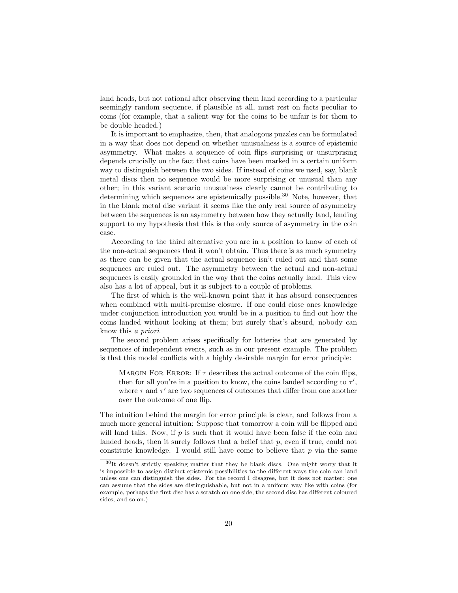land heads, but not rational after observing them land according to a particular seemingly random sequence, if plausible at all, must rest on facts peculiar to coins (for example, that a salient way for the coins to be unfair is for them to be double headed.)

It is important to emphasize, then, that analogous puzzles can be formulated in a way that does not depend on whether unusualness is a source of epistemic asymmetry. What makes a sequence of coin flips surprising or unsurprising depends crucially on the fact that coins have been marked in a certain uniform way to distinguish between the two sides. If instead of coins we used, say, blank metal discs then no sequence would be more surprising or unusual than any other; in this variant scenario unusualness clearly cannot be contributing to determining which sequences are epistemically possible.<sup>30</sup> Note, however, that in the blank metal disc variant it seems like the only real source of asymmetry between the sequences is an asymmetry between how they actually land, lending support to my hypothesis that this is the only source of asymmetry in the coin case.

According to the third alternative you are in a position to know of each of the non-actual sequences that it won't obtain. Thus there is as much symmetry as there can be given that the actual sequence isn't ruled out and that some sequences are ruled out. The asymmetry between the actual and non-actual sequences is easily grounded in the way that the coins actually land. This view also has a lot of appeal, but it is subject to a couple of problems.

The first of which is the well-known point that it has absurd consequences when combined with multi-premise closure. If one could close ones knowledge under conjunction introduction you would be in a position to find out how the coins landed without looking at them; but surely that's absurd, nobody can know this a priori.

The second problem arises specifically for lotteries that are generated by sequences of independent events, such as in our present example. The problem is that this model conflicts with a highly desirable margin for error principle:

MARGIN FOR ERROR: If  $\tau$  describes the actual outcome of the coin flips, then for all you're in a position to know, the coins landed according to  $\tau'$ , where  $\tau$  and  $\tau'$  are two sequences of outcomes that differ from one another over the outcome of one flip.

The intuition behind the margin for error principle is clear, and follows from a much more general intuition: Suppose that tomorrow a coin will be flipped and will land tails. Now, if  $p$  is such that it would have been false if the coin had landed heads, then it surely follows that a belief that  $p$ , even if true, could not constitute knowledge. I would still have come to believe that  $p$  via the same

<sup>30</sup>It doesn't strictly speaking matter that they be blank discs. One might worry that it is impossible to assign distinct epistemic possibilities to the different ways the coin can land unless one can distinguish the sides. For the record I disagree, but it does not matter: one can assume that the sides are distinguishable, but not in a uniform way like with coins (for example, perhaps the first disc has a scratch on one side, the second disc has different coloured sides, and so on.)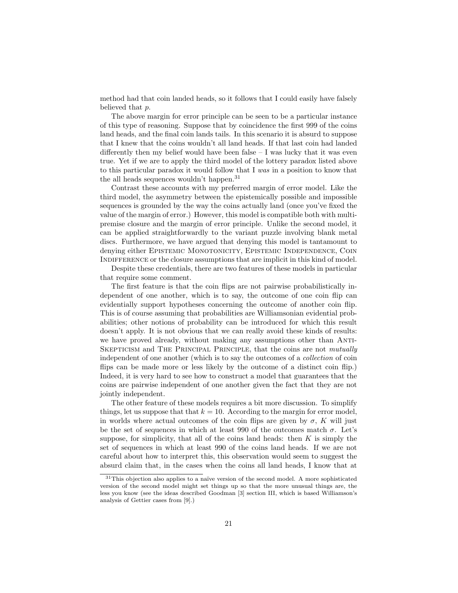method had that coin landed heads, so it follows that I could easily have falsely believed that p.

The above margin for error principle can be seen to be a particular instance of this type of reasoning. Suppose that by coincidence the first 999 of the coins land heads, and the final coin lands tails. In this scenario it is absurd to suppose that I knew that the coins wouldn't all land heads. If that last coin had landed differently then my belief would have been false  $- I$  was lucky that it was even true. Yet if we are to apply the third model of the lottery paradox listed above to this particular paradox it would follow that I was in a position to know that the all heads sequences wouldn't happen.<sup>31</sup>

Contrast these accounts with my preferred margin of error model. Like the third model, the asymmetry between the epistemically possible and impossible sequences is grounded by the way the coins actually land (once you've fixed the value of the margin of error.) However, this model is compatible both with multipremise closure and the margin of error principle. Unlike the second model, it can be applied straightforwardly to the variant puzzle involving blank metal discs. Furthermore, we have argued that denying this model is tantamount to denying either EPISTEMIC MONOTONICITY, EPISTEMIC INDEPENDENCE, COIN INDIFFERENCE or the closure assumptions that are implicit in this kind of model.

Despite these credentials, there are two features of these models in particular that require some comment.

The first feature is that the coin flips are not pairwise probabilistically independent of one another, which is to say, the outcome of one coin flip can evidentially support hypotheses concerning the outcome of another coin flip. This is of course assuming that probabilities are Williamsonian evidential probabilities; other notions of probability can be introduced for which this result doesn't apply. It is not obvious that we can really avoid these kinds of results: we have proved already, without making any assumptions other than Anti-SKEPTICISM and THE PRINCIPAL PRINCIPLE, that the coins are not *mutually* independent of one another (which is to say the outcomes of a collection of coin flips can be made more or less likely by the outcome of a distinct coin flip.) Indeed, it is very hard to see how to construct a model that guarantees that the coins are pairwise independent of one another given the fact that they are not jointly independent.

The other feature of these models requires a bit more discussion. To simplify things, let us suppose that that  $k = 10$ . According to the margin for error model, in worlds where actual outcomes of the coin flips are given by  $\sigma$ , K will just be the set of sequences in which at least 990 of the outcomes match  $\sigma$ . Let's suppose, for simplicity, that all of the coins land heads: then  $K$  is simply the set of sequences in which at least 990 of the coins land heads. If we are not careful about how to interpret this, this observation would seem to suggest the absurd claim that, in the cases when the coins all land heads, I know that at

 $31$ This objection also applies to a naïve version of the second model. A more sophisticated version of the second model might set things up so that the more unusual things are, the less you know (see the ideas described Goodman [3] section III, which is based Williamson's analysis of Gettier cases from [9].)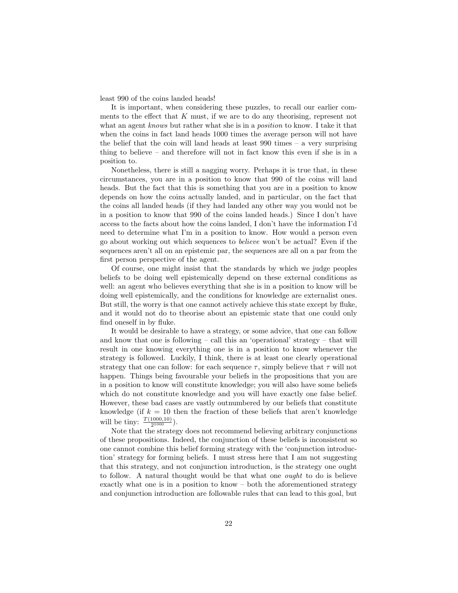least 990 of the coins landed heads!

It is important, when considering these puzzles, to recall our earlier comments to the effect that K must, if we are to do any theorising, represent not what an agent knows but rather what she is in a *position* to know. I take it that when the coins in fact land heads 1000 times the average person will not have the belief that the coin will land heads at least 990 times – a very surprising thing to believe – and therefore will not in fact know this even if she is in a position to.

Nonetheless, there is still a nagging worry. Perhaps it is true that, in these circumstances, you are in a position to know that 990 of the coins will land heads. But the fact that this is something that you are in a position to know depends on how the coins actually landed, and in particular, on the fact that the coins all landed heads (if they had landed any other way you would not be in a position to know that 990 of the coins landed heads.) Since I don't have access to the facts about how the coins landed, I don't have the information I'd need to determine what I'm in a position to know. How would a person even go about working out which sequences to believe won't be actual? Even if the sequences aren't all on an epistemic par, the sequences are all on a par from the first person perspective of the agent.

Of course, one might insist that the standards by which we judge peoples beliefs to be doing well epistemically depend on these external conditions as well: an agent who believes everything that she is in a position to know will be doing well epistemically, and the conditions for knowledge are externalist ones. But still, the worry is that one cannot actively achieve this state except by fluke, and it would not do to theorise about an epistemic state that one could only find oneself in by fluke.

It would be desirable to have a strategy, or some advice, that one can follow and know that one is following – call this an 'operational' strategy – that will result in one knowing everything one is in a position to know whenever the strategy is followed. Luckily, I think, there is at least one clearly operational strategy that one can follow: for each sequence  $\tau$ , simply believe that  $\tau$  will not happen. Things being favourable your beliefs in the propositions that you are in a position to know will constitute knowledge; you will also have some beliefs which do not constitute knowledge and you will have exactly one false belief. However, these bad cases are vastly outnumbered by our beliefs that constitute knowledge (if  $k = 10$  then the fraction of these beliefs that aren't knowledge will be tiny:  $\frac{T(1000,10)}{2^{1000}}$ ).

Note that the strategy does not recommend believing arbitrary conjunctions of these propositions. Indeed, the conjunction of these beliefs is inconsistent so one cannot combine this belief forming strategy with the 'conjunction introduction' strategy for forming beliefs. I must stress here that I am not suggesting that this strategy, and not conjunction introduction, is the strategy one ought to follow. A natural thought would be that what one ought to do is believe exactly what one is in a position to know – both the aforementioned strategy and conjunction introduction are followable rules that can lead to this goal, but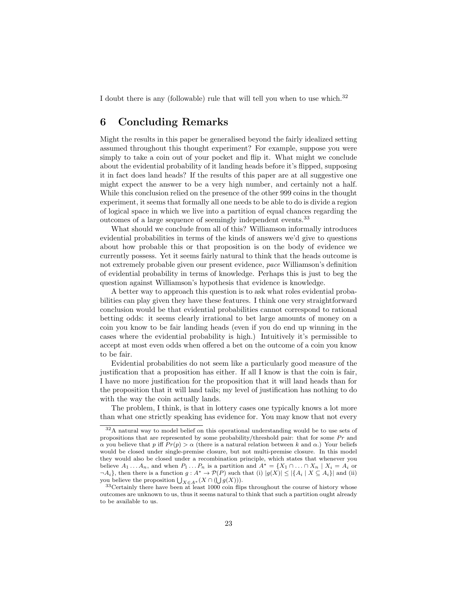I doubt there is any (followable) rule that will tell you when to use which.<sup>32</sup>

# 6 Concluding Remarks

Might the results in this paper be generalised beyond the fairly idealized setting assumed throughout this thought experiment? For example, suppose you were simply to take a coin out of your pocket and flip it. What might we conclude about the evidential probability of it landing heads before it's flipped, supposing it in fact does land heads? If the results of this paper are at all suggestive one might expect the answer to be a very high number, and certainly not a half. While this conclusion relied on the presence of the other 999 coins in the thought experiment, it seems that formally all one needs to be able to do is divide a region of logical space in which we live into a partition of equal chances regarding the outcomes of a large sequence of seemingly independent events.<sup>33</sup>

What should we conclude from all of this? Williamson informally introduces evidential probabilities in terms of the kinds of answers we'd give to questions about how probable this or that proposition is on the body of evidence we currently possess. Yet it seems fairly natural to think that the heads outcome is not extremely probable given our present evidence, pace Williamson's definition of evidential probability in terms of knowledge. Perhaps this is just to beg the question against Williamson's hypothesis that evidence is knowledge.

A better way to approach this question is to ask what roles evidential probabilities can play given they have these features. I think one very straightforward conclusion would be that evidential probabilities cannot correspond to rational betting odds: it seems clearly irrational to bet large amounts of money on a coin you know to be fair landing heads (even if you do end up winning in the cases where the evidential probability is high.) Intuitively it's permissible to accept at most even odds when offered a bet on the outcome of a coin you know to be fair.

Evidential probabilities do not seem like a particularly good measure of the justification that a proposition has either. If all I know is that the coin is fair, I have no more justification for the proposition that it will land heads than for the proposition that it will land tails; my level of justification has nothing to do with the way the coin actually lands.

The problem, I think, is that in lottery cases one typically knows a lot more than what one strictly speaking has evidence for. You may know that not every

<sup>32</sup>A natural way to model belief on this operational understanding would be to use sets of propositions that are represented by some probability/threshold pair: that for some  $Pr$  and α you believe that p iff  $Pr(p) > α$  (there is a natural relation between k and α.) Your beliefs would be closed under single-premise closure, but not multi-premise closure. In this model they would also be closed under a recombination principle, which states that whenever you believe  $A_1 \ldots A_n$ , and when  $P_1 \ldots P_n$  is a partition and  $A^* = \{X_1 \cap \ldots \cap X_n | X_i = A_i \}$  or  $\neg A_i$ , then there is a function  $g: A^* \to \mathcal{P}(P)$  such that (i)  $|g(X)| \leq |\{A_i \mid X \subseteq A_i\}|$  and (ii) you believe the proposition  $\bigcup_{X \in A^*} (X \cap (\bigcup g(X))).$ 

<sup>33</sup>Certainly there have been at least 1000 coin flips throughout the course of history whose outcomes are unknown to us, thus it seems natural to think that such a partition ought already to be available to us.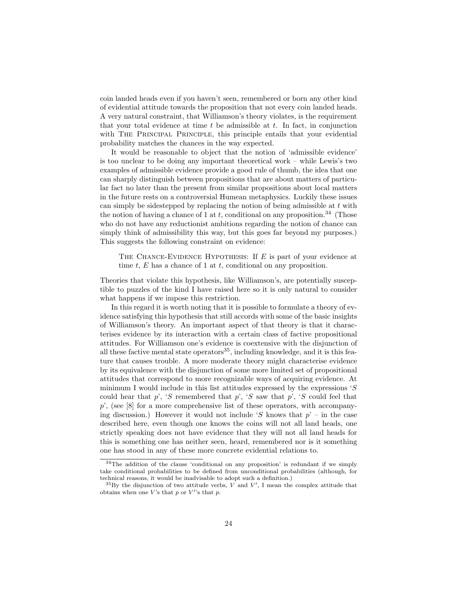coin landed heads even if you haven't seen, remembered or born any other kind of evidential attitude towards the proposition that not every coin landed heads. A very natural constraint, that Williamson's theory violates, is the requirement that your total evidence at time  $t$  be admissible at  $t$ . In fact, in conjunction with THE PRINCIPAL PRINCIPLE, this principle entails that your evidential probability matches the chances in the way expected.

It would be reasonable to object that the notion of 'admissible evidence' is too unclear to be doing any important theoretical work – while Lewis's two examples of admissible evidence provide a good rule of thumb, the idea that one can sharply distinguish between propositions that are about matters of particular fact no later than the present from similar propositions about local matters in the future rests on a controversial Humean metaphysics. Luckily these issues can simply be sidestepped by replacing the notion of being admissible at  $t$  with the notion of having a chance of 1 at t, conditional on any proposition.<sup>34</sup> (Those who do not have any reductionist ambitions regarding the notion of chance can simply think of admissibility this way, but this goes far beyond my purposes.) This suggests the following constraint on evidence:

THE CHANCE-EVIDENCE HYPOTHESIS: If  $E$  is part of your evidence at time  $t$ ,  $E$  has a chance of 1 at  $t$ , conditional on any proposition.

Theories that violate this hypothesis, like Williamson's, are potentially susceptible to puzzles of the kind I have raised here so it is only natural to consider what happens if we impose this restriction.

In this regard it is worth noting that it is possible to formulate a theory of evidence satisfying this hypothesis that still accords with some of the basic insights of Williamson's theory. An important aspect of that theory is that it characterises evidence by its interaction with a certain class of factive propositional attitudes. For Williamson one's evidence is coextensive with the disjunction of all these factive mental state operators<sup>35</sup>, including knowledge, and it is this feature that causes trouble. A more moderate theory might characterise evidence by its equivalence with the disjunction of some more limited set of propositional attitudes that correspond to more recognizable ways of acquiring evidence. At minimum I would include in this list attitudes expressed by the expressions  $S$ could hear that p', 'S remembered that p', 'S saw that p', 'S could feel that  $p'$ , (see [8] for a more comprehensive list of these operators, with accompanying discussion.) However it would not include 'S knows that  $p'$  – in the case described here, even though one knows the coins will not all land heads, one strictly speaking does not have evidence that they will not all land heads for this is something one has neither seen, heard, remembered nor is it something one has stood in any of these more concrete evidential relations to.

<sup>34</sup>The addition of the clause 'conditional on any proposition' is redundant if we simply take conditional probabilities to be defined from unconditional probabilities (although, for technical reasons, it would be inadvisable to adopt such a definition.)

 ${}^{35}$ By the disjunction of two attitude verbs, V and V', I mean the complex attitude that obtains when one V's that  $p$  or V''s that  $p$ .